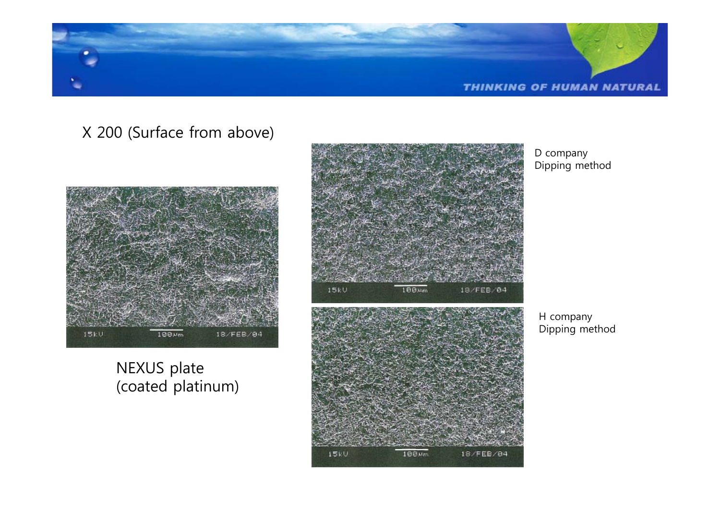

 $15kV$ 

## X 200 (Surface from above)



NEXUS plate (coated platinum)



100 Mm

18/FEB/04

D company Dipping method

H company Dipping method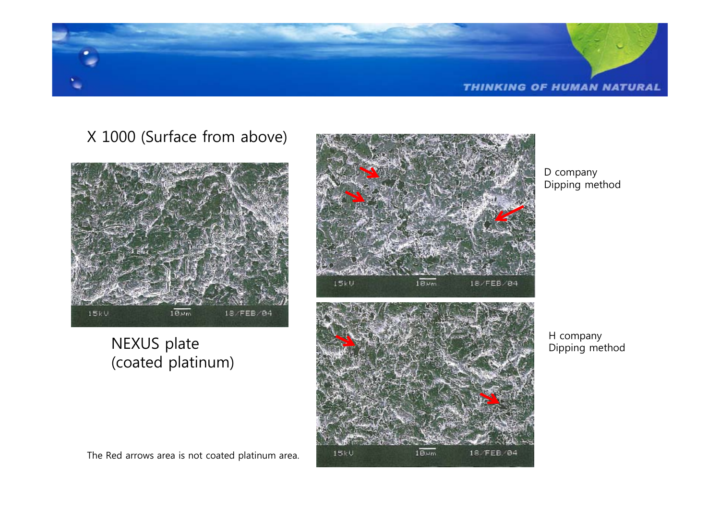

# X 1000 (Surface from above)



# NEXUS plate (coated platinum)



D company Dipping method



H company Dipping method

The Red arrows area is not coated platinum area.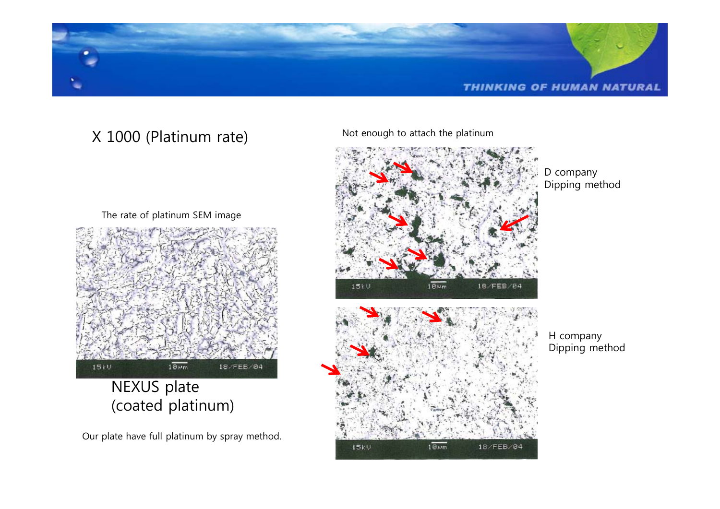

# X 1000 (Platinum rate)

The rate of platinum SEM image



NEXUS plate (coated platinum)

Our plate have full platinum by spray method.

Not enough to attach the platinum

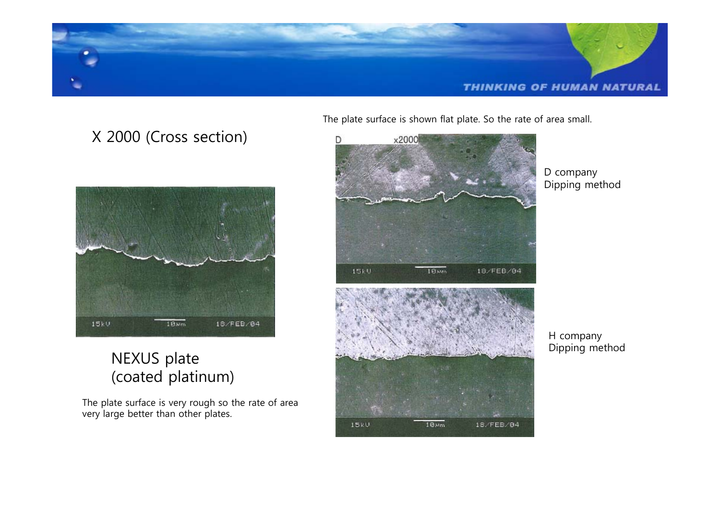

 $15kV$ 

# X 2000 (Cross section)



# NEXUS plate (coated platinum)

The plate surface is very rough so the rate of area very large better than other plates.

The plate surface is shown flat plate. So the rate of area small.



 $10<sub>Nm</sub>$ 

D company Dipping method

18/FEB/04

H company Dipping method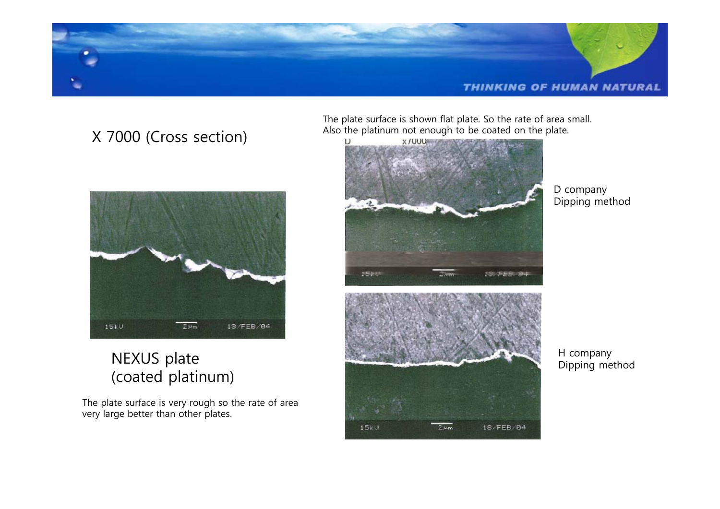

# X 7000 (Cross section)



# NEXUS plate (coated platinum)

The plate surface is very rough so the rate of area very large better than other plates.

The plate surface is shown flat plate. So the rate of area small. Also the platinum not enough to be coated on the plate.



D company Dipping method



H company Dipping method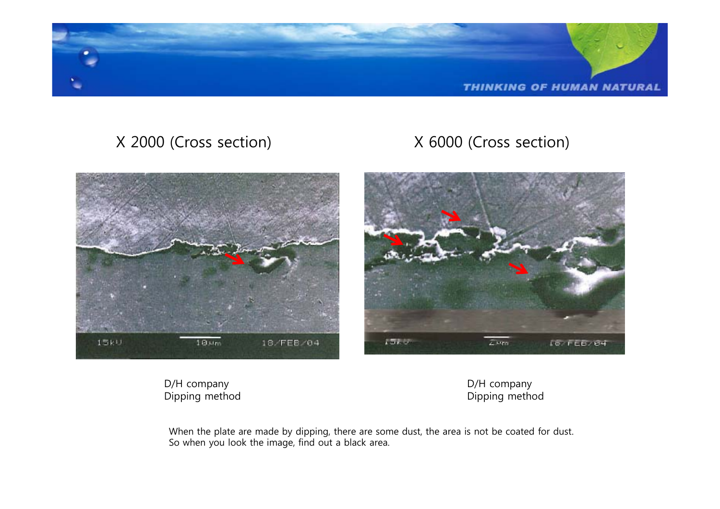

# X 2000 (Cross section) X 6000 (Cross section)



D/H company Dipping method D/H company Dipping method

When the plate are made by dipping, there are some dust, the area is not be coated for dust. So when you look the image, find out a black area.